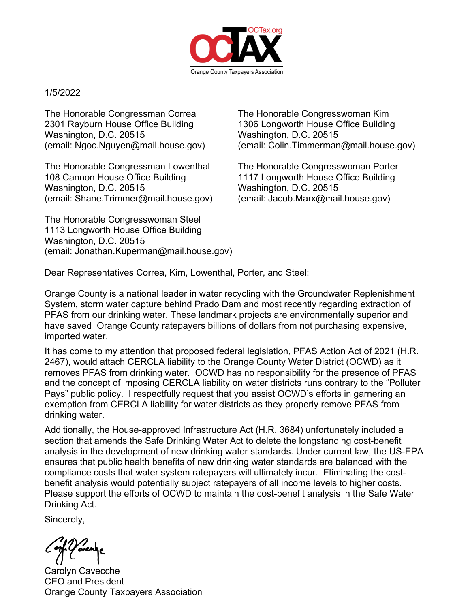

## 1/5/2022

The Honorable Congressman Correa The Honorable Congresswoman Kim 2301 Rayburn House Office Building 1306 Longworth House Office Building Washington, D.C. 20515 Washington, D.C. 20515

The Honorable Congressman Lowenthal The Honorable Congresswoman Porter 108 Cannon House Office Building 1117 Longworth House Office Building Washington, D.C. 20515 Washington, D.C. 20515 (email: Shane.Trimmer@mail.house.gov) (email: Jacob.Marx@mail.house.gov)

The Honorable Congresswoman Steel 1113 Longworth House Office Building Washington, D.C. 20515 (email: Jonathan.Kuperman@mail.house.gov)

(email: Ngoc.Nguyen@mail.house.gov) (email: Colin.Timmerman@mail.house.gov)

Dear Representatives Correa, Kim, Lowenthal, Porter, and Steel:

Orange County is a national leader in water recycling with the Groundwater Replenishment System, storm water capture behind Prado Dam and most recently regarding extraction of PFAS from our drinking water. These landmark projects are environmentally superior and have saved Orange County ratepayers billions of dollars from not purchasing expensive, imported water.

It has come to my attention that proposed federal legislation, PFAS Action Act of 2021 (H.R. 2467), would attach CERCLA liability to the Orange County Water District (OCWD) as it removes PFAS from drinking water. OCWD has no responsibility for the presence of PFAS and the concept of imposing CERCLA liability on water districts runs contrary to the "Polluter Pays" public policy. I respectfully request that you assist OCWD's efforts in garnering an exemption from CERCLA liability for water districts as they properly remove PFAS from drinking water.

Additionally, the House-approved Infrastructure Act (H.R. 3684) unfortunately included a section that amends the Safe Drinking Water Act to delete the longstanding cost-benefit analysis in the development of new drinking water standards. Under current law, the US-EPA ensures that public health benefits of new drinking water standards are balanced with the compliance costs that water system ratepayers will ultimately incur. Eliminating the costbenefit analysis would potentially subject ratepayers of all income levels to higher costs. Please support the efforts of OCWD to maintain the cost-benefit analysis in the Safe Water Drinking Act.

Sincerely,

Carolyn Cavecche CEO and President Orange County Taxpayers Association